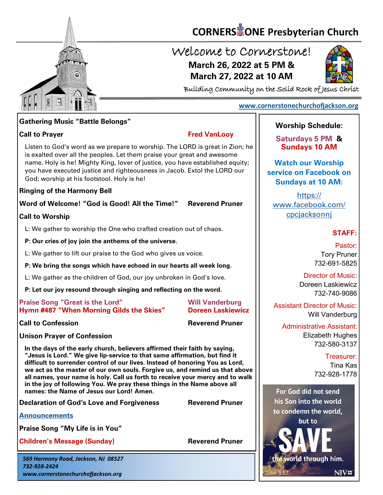

# **CORNERS** TONE Presbyterian Church

## Welcome to Cornerstone! **March 26, 2022 at 5 PM & March 27, 2022 at 10 AM**



Building Community on the Solid Rock of Jesus Christ

#### **[www.cornerstonechurchofjackson.org](http://www.cornerstonechurchofjackson.org)**

#### **Gathering Music "Battle Belongs"**

#### **Call to Prayer Fred VanLooy**

 is exalted over all the peoples. Let them praise your great and awesome Listen to God's word as we prepare to worship. The LORD is great in Zion; he name. Holy is he! Mighty King, lover of justice, you have established equity; you have executed justice and righteousness in Jacob. Extol the LORD our God; worship at his footstool. Holy is he!

#### **Ringing of the Harmony Bell**

**Word of Welcome! "God is Good! All the Time!" Reverend Pruner**

#### **Call to Worship**

L: We gather to worship the One who crafted creation out of chaos.

**P: Our cries of joy join the anthems of the universe.**

L: We gather to lift our praise to the God who gives us voice.

**P: We bring the songs which have echoed in our hearts all week long.**

L: We gather as the children of God, our joy unbroken in God's love.

**P: Let our joy resound through singing and reflecting on the word.**

#### **Praise Song "Great is the Lord" Will Vanderburg Hymn #487 "When Morning Gilds the Skies" Doreen Laskiewicz**

**Call to Confession Reverend Pruner**

**Unison Prayer of Confession**

**In the days of the early church, believers affirmed their faith by saying, "Jesus is Lord." We give lip-service to that same affirmation, but find it difficult to surrender control of our lives. Instead of honoring You as Lord, we act as the master of our own souls. Forgive us, and remind us that above all names, your name is holy. Call us forth to receive your mercy and to walk in the joy of following You. We pray these things in the Name above all names: the Name of Jesus our Lord! Amen.**

**Declaration of God's Love and Forgiveness Reverend Pruner** 

**[Announcements](http://cornerstonechurchofjackson.org/?page_id=2)**

**Praise Song "My Life is in You"** 

**Children's Message (Sunday) Reverend Pruner** 

*569 Harmony Road, Jackson, NJ 08527 732-928-2424 www.cornerstonechurchofjackson.org*

### **Worship Schedule:**

**Saturdays 5 PM & Sundays 10 AM**

**Watch our Worship service on Facebook on Sundays at 10 AM:**

[https://](https://www.facebook.com/cpcjacksonnj) [www.facebook.com/](https://www.facebook.com/cpcjacksonnj) [cpcjacksonnj](https://www.facebook.com/cpcjacksonnj)

#### **STAFF:**

Pastor: Tory Pruner 732-691-5825

Director of Music: Doreen Laskiewicz 732-740-9086

Assistant Director of Music: Will Vanderburg

Administrative Assistant: Elizabeth Hughes 732-580-3137

> Treasurer: Tina Kas

732-928-1778

For God did not send his Son into the world to condemn the world. but to

the world through him.

**NIVE**